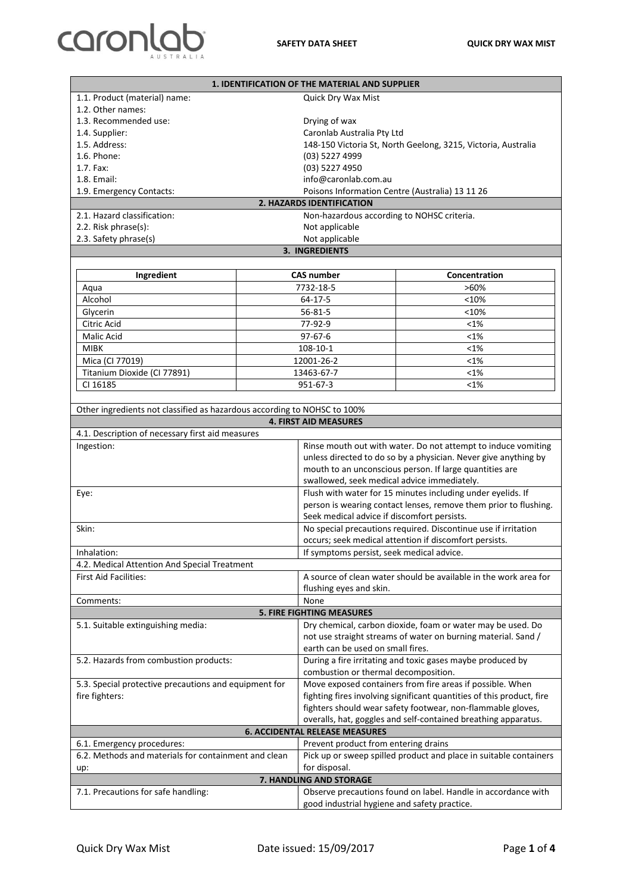## caronlab

|                                                                                                          |                   | <b>1. IDENTIFICATION OF THE MATERIAL AND SUPPLIER</b>                                               |                                                                       |  |  |
|----------------------------------------------------------------------------------------------------------|-------------------|-----------------------------------------------------------------------------------------------------|-----------------------------------------------------------------------|--|--|
| 1.1. Product (material) name:<br>Quick Dry Wax Mist                                                      |                   |                                                                                                     |                                                                       |  |  |
| 1.2. Other names:                                                                                        |                   |                                                                                                     |                                                                       |  |  |
| 1.3. Recommended use:                                                                                    |                   | Drying of wax                                                                                       |                                                                       |  |  |
| 1.4. Supplier:                                                                                           |                   | Caronlab Australia Pty Ltd                                                                          |                                                                       |  |  |
| 1.5. Address:                                                                                            |                   |                                                                                                     | 148-150 Victoria St, North Geelong, 3215, Victoria, Australia         |  |  |
| 1.6. Phone:                                                                                              |                   | (03) 5227 4999                                                                                      |                                                                       |  |  |
| 1.7. Fax:                                                                                                |                   | (03) 5227 4950                                                                                      |                                                                       |  |  |
| 1.8. Email:                                                                                              |                   | info@caronlab.com.au                                                                                |                                                                       |  |  |
|                                                                                                          |                   |                                                                                                     |                                                                       |  |  |
| Poisons Information Centre (Australia) 13 11 26<br>1.9. Emergency Contacts:<br>2. HAZARDS IDENTIFICATION |                   |                                                                                                     |                                                                       |  |  |
| 2.1. Hazard classification:<br>Non-hazardous according to NOHSC criteria.                                |                   |                                                                                                     |                                                                       |  |  |
| 2.2. Risk phrase(s):                                                                                     |                   |                                                                                                     |                                                                       |  |  |
|                                                                                                          |                   | Not applicable                                                                                      |                                                                       |  |  |
| 2.3. Safety phrase(s)<br>Not applicable<br><b>3. INGREDIENTS</b>                                         |                   |                                                                                                     |                                                                       |  |  |
|                                                                                                          |                   |                                                                                                     |                                                                       |  |  |
| Ingredient                                                                                               | <b>CAS number</b> |                                                                                                     | Concentration                                                         |  |  |
|                                                                                                          |                   |                                                                                                     | $>60\%$                                                               |  |  |
| Aqua<br>Alcohol                                                                                          | 7732-18-5         |                                                                                                     |                                                                       |  |  |
|                                                                                                          | 64-17-5           |                                                                                                     | <10%                                                                  |  |  |
| Glycerin                                                                                                 |                   | 56-81-5                                                                                             | <10%                                                                  |  |  |
| Citric Acid                                                                                              | 77-92-9           |                                                                                                     | <1%                                                                   |  |  |
| Malic Acid                                                                                               | $97 - 67 - 6$     |                                                                                                     | $< 1\%$                                                               |  |  |
| <b>MIBK</b>                                                                                              | $108 - 10 - 1$    |                                                                                                     | $< 1\%$                                                               |  |  |
| Mica (CI 77019)                                                                                          | 12001-26-2        |                                                                                                     | <1%                                                                   |  |  |
| Titanium Dioxide (Cl 77891)                                                                              | 13463-67-7        |                                                                                                     | <1%                                                                   |  |  |
| CI 16185                                                                                                 | 951-67-3          |                                                                                                     | <1%                                                                   |  |  |
|                                                                                                          |                   |                                                                                                     |                                                                       |  |  |
| Other ingredients not classified as hazardous according to NOHSC to 100%                                 |                   |                                                                                                     |                                                                       |  |  |
|                                                                                                          |                   | <b>4. FIRST AID MEASURES</b>                                                                        |                                                                       |  |  |
| 4.1. Description of necessary first aid measures                                                         |                   |                                                                                                     |                                                                       |  |  |
| Ingestion:                                                                                               |                   |                                                                                                     | Rinse mouth out with water. Do not attempt to induce vomiting         |  |  |
|                                                                                                          |                   | unless directed to do so by a physician. Never give anything by                                     |                                                                       |  |  |
|                                                                                                          |                   | mouth to an unconscious person. If large quantities are                                             |                                                                       |  |  |
|                                                                                                          |                   | swallowed, seek medical advice immediately.                                                         |                                                                       |  |  |
|                                                                                                          |                   | Flush with water for 15 minutes including under eyelids. If                                         |                                                                       |  |  |
| Eye:                                                                                                     |                   | person is wearing contact lenses, remove them prior to flushing.                                    |                                                                       |  |  |
|                                                                                                          |                   |                                                                                                     |                                                                       |  |  |
| Skin:                                                                                                    |                   | Seek medical advice if discomfort persists.                                                         |                                                                       |  |  |
|                                                                                                          |                   | No special precautions required. Discontinue use if irritation                                      |                                                                       |  |  |
|                                                                                                          |                   | occurs; seek medical attention if discomfort persists.<br>If symptoms persist, seek medical advice. |                                                                       |  |  |
| Inhalation:                                                                                              |                   |                                                                                                     |                                                                       |  |  |
| 4.2. Medical Attention And Special Treatment                                                             |                   |                                                                                                     |                                                                       |  |  |
| <b>First Aid Facilities:</b>                                                                             |                   | A source of clean water should be available in the work area for                                    |                                                                       |  |  |
|                                                                                                          |                   | flushing eyes and skin.                                                                             |                                                                       |  |  |
| Comments:<br>None                                                                                        |                   |                                                                                                     |                                                                       |  |  |
| <b>5. FIRE FIGHTING MEASURES</b>                                                                         |                   |                                                                                                     |                                                                       |  |  |
| 5.1. Suitable extinguishing media:                                                                       |                   |                                                                                                     | Dry chemical, carbon dioxide, foam or water may be used. Do           |  |  |
|                                                                                                          |                   | not use straight streams of water on burning material. Sand /                                       |                                                                       |  |  |
|                                                                                                          |                   | earth can be used on small fires.                                                                   |                                                                       |  |  |
| 5.2. Hazards from combustion products:                                                                   |                   |                                                                                                     | During a fire irritating and toxic gases maybe produced by            |  |  |
|                                                                                                          |                   | combustion or thermal decomposition.                                                                |                                                                       |  |  |
| 5.3. Special protective precautions and equipment for                                                    |                   | Move exposed containers from fire areas if possible. When                                           |                                                                       |  |  |
| fire fighters:                                                                                           |                   |                                                                                                     | fighting fires involving significant quantities of this product, fire |  |  |
|                                                                                                          |                   |                                                                                                     | fighters should wear safety footwear, non-flammable gloves,           |  |  |
| overalls, hat, goggles and self-contained breathing apparatus.                                           |                   |                                                                                                     |                                                                       |  |  |
|                                                                                                          |                   | <b>6. ACCIDENTAL RELEASE MEASURES</b>                                                               |                                                                       |  |  |
| 6.1. Emergency procedures:                                                                               |                   | Prevent product from entering drains                                                                |                                                                       |  |  |
| 6.2. Methods and materials for containment and clean                                                     |                   |                                                                                                     | Pick up or sweep spilled product and place in suitable containers     |  |  |
| up:                                                                                                      |                   | for disposal.                                                                                       |                                                                       |  |  |
| 7. HANDLING AND STORAGE                                                                                  |                   |                                                                                                     |                                                                       |  |  |
| Observe precautions found on label. Handle in accordance with<br>7.1. Precautions for safe handling:     |                   |                                                                                                     |                                                                       |  |  |
|                                                                                                          |                   | good industrial hygiene and safety practice.                                                        |                                                                       |  |  |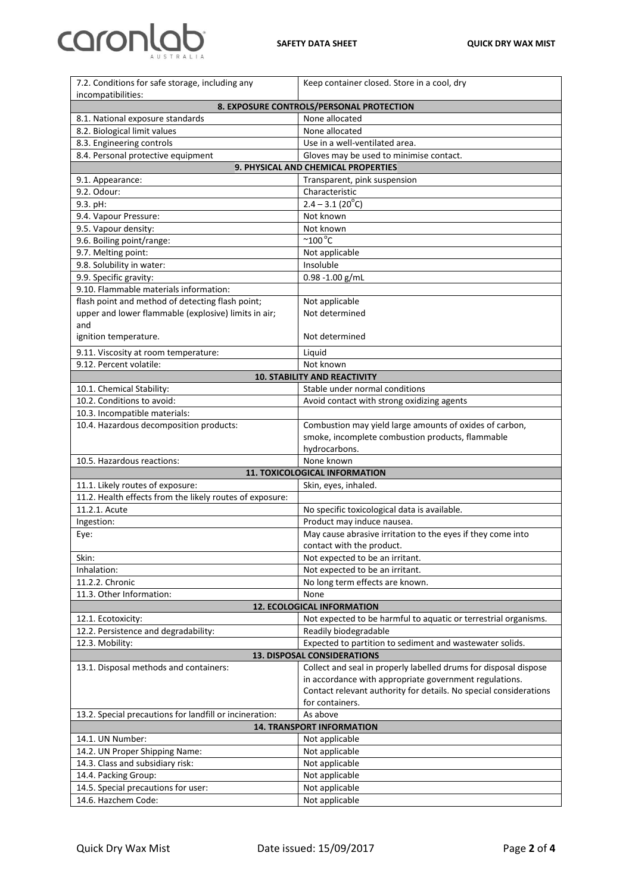$\overline{\mathbf{1}}$ 

| 7.2. Conditions for safe storage, including any                                | Keep container closed. Store in a cool, dry                                                                                 |  |  |
|--------------------------------------------------------------------------------|-----------------------------------------------------------------------------------------------------------------------------|--|--|
| incompatibilities:                                                             |                                                                                                                             |  |  |
|                                                                                | 8. EXPOSURE CONTROLS/PERSONAL PROTECTION                                                                                    |  |  |
| 8.1. National exposure standards                                               | None allocated                                                                                                              |  |  |
| 8.2. Biological limit values                                                   | None allocated                                                                                                              |  |  |
| 8.3. Engineering controls<br>8.4. Personal protective equipment                | Use in a well-ventilated area.                                                                                              |  |  |
| Gloves may be used to minimise contact.<br>9. PHYSICAL AND CHEMICAL PROPERTIES |                                                                                                                             |  |  |
| 9.1. Appearance:                                                               | Transparent, pink suspension                                                                                                |  |  |
| 9.2. Odour:                                                                    | Characteristic                                                                                                              |  |  |
| 9.3. pH:                                                                       | $2.4 - 3.1(20^{\circ}C)$                                                                                                    |  |  |
| 9.4. Vapour Pressure:                                                          | Not known                                                                                                                   |  |  |
| 9.5. Vapour density:                                                           | Not known                                                                                                                   |  |  |
| 9.6. Boiling point/range:                                                      | $~^{\circ}$ 100 $^{\circ}$ C                                                                                                |  |  |
| 9.7. Melting point:                                                            | Not applicable                                                                                                              |  |  |
| 9.8. Solubility in water:                                                      | Insoluble                                                                                                                   |  |  |
| 9.9. Specific gravity:                                                         | 0.98 -1.00 g/mL                                                                                                             |  |  |
| 9.10. Flammable materials information:                                         |                                                                                                                             |  |  |
| flash point and method of detecting flash point;                               | Not applicable                                                                                                              |  |  |
| upper and lower flammable (explosive) limits in air;                           | Not determined                                                                                                              |  |  |
| and                                                                            |                                                                                                                             |  |  |
| ignition temperature.                                                          | Not determined                                                                                                              |  |  |
| 9.11. Viscosity at room temperature:                                           | Liquid                                                                                                                      |  |  |
| 9.12. Percent volatile:                                                        | Not known                                                                                                                   |  |  |
|                                                                                | <b>10. STABILITY AND REACTIVITY</b>                                                                                         |  |  |
| 10.1. Chemical Stability:                                                      | Stable under normal conditions                                                                                              |  |  |
| 10.2. Conditions to avoid:                                                     | Avoid contact with strong oxidizing agents                                                                                  |  |  |
| 10.3. Incompatible materials:                                                  |                                                                                                                             |  |  |
| 10.4. Hazardous decomposition products:                                        | Combustion may yield large amounts of oxides of carbon,                                                                     |  |  |
|                                                                                | smoke, incomplete combustion products, flammable<br>hydrocarbons.                                                           |  |  |
|                                                                                |                                                                                                                             |  |  |
|                                                                                |                                                                                                                             |  |  |
| 10.5. Hazardous reactions:                                                     | None known                                                                                                                  |  |  |
|                                                                                | 11. TOXICOLOGICAL INFORMATION                                                                                               |  |  |
| 11.1. Likely routes of exposure:                                               | Skin, eyes, inhaled.                                                                                                        |  |  |
| 11.2. Health effects from the likely routes of exposure:<br>11.2.1. Acute      | No specific toxicological data is available.                                                                                |  |  |
| Ingestion:                                                                     | Product may induce nausea.                                                                                                  |  |  |
| Eye:                                                                           | May cause abrasive irritation to the eyes if they come into                                                                 |  |  |
|                                                                                | contact with the product.                                                                                                   |  |  |
| Skin:                                                                          | Not expected to be an irritant.                                                                                             |  |  |
| Inhalation:                                                                    | Not expected to be an irritant.                                                                                             |  |  |
| 11.2.2. Chronic                                                                | No long term effects are known.                                                                                             |  |  |
| 11.3. Other Information:                                                       | None                                                                                                                        |  |  |
|                                                                                | <b>12. ECOLOGICAL INFORMATION</b>                                                                                           |  |  |
| 12.1. Ecotoxicity:                                                             | Not expected to be harmful to aquatic or terrestrial organisms.                                                             |  |  |
| 12.2. Persistence and degradability:                                           | Readily biodegradable                                                                                                       |  |  |
| 12.3. Mobility:                                                                | Expected to partition to sediment and wastewater solids.                                                                    |  |  |
|                                                                                | <b>13. DISPOSAL CONSIDERATIONS</b>                                                                                          |  |  |
| 13.1. Disposal methods and containers:                                         | Collect and seal in properly labelled drums for disposal dispose                                                            |  |  |
|                                                                                | in accordance with appropriate government regulations.<br>Contact relevant authority for details. No special considerations |  |  |
|                                                                                | for containers.                                                                                                             |  |  |
| 13.2. Special precautions for landfill or incineration:                        | As above                                                                                                                    |  |  |
|                                                                                | <b>14. TRANSPORT INFORMATION</b>                                                                                            |  |  |
| 14.1. UN Number:                                                               | Not applicable                                                                                                              |  |  |
| 14.2. UN Proper Shipping Name:                                                 | Not applicable                                                                                                              |  |  |
| 14.3. Class and subsidiary risk:                                               | Not applicable                                                                                                              |  |  |
| 14.4. Packing Group:                                                           | Not applicable                                                                                                              |  |  |
| 14.5. Special precautions for user:<br>14.6. Hazchem Code:                     | Not applicable<br>Not applicable                                                                                            |  |  |

caronla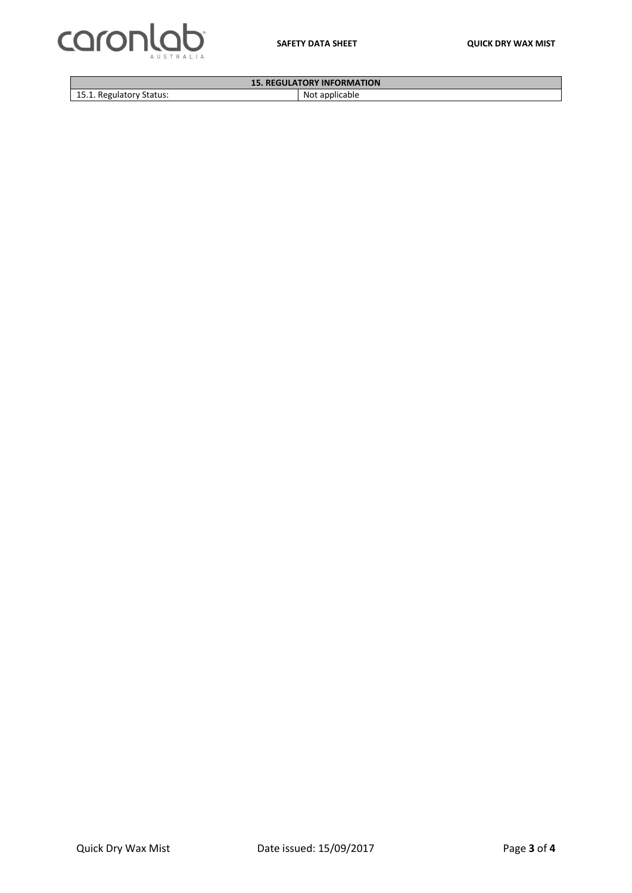



| <b>15. REGULATORY INFORMATION</b> |                      |  |
|-----------------------------------|----------------------|--|
| 15.1. Regulatory Status:          | Not.<br>. applicable |  |